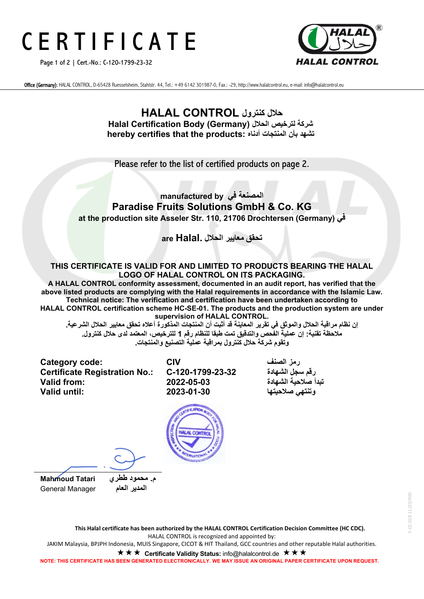# C E R T I F I C A T E

Page 1 of 2 | Cert.-No.: C-120-1799-23-32



Office (Germany): HALAL CONTROL, D-65428 Ruesselsheim, Stahlstr. 44, Tel.: +49 6142 301987-0, Fax.: -29, http://www.halalcontrol.eu, e-mail: info@halalcontrol.eu

### **حلال كنترول CONTROL HALAL Halal Certification Body (Germany) الحلال لترخیص شركة hereby certifies that the products: أدناه المنتجات بأن تشھد**

Please refer to the list of certified products on page 2.

### **المصنعة في by manufactured Paradise Fruits Solutions GmbH & Co. KG at the production site Asseler Str. 110, 21706 Drochtersen (Germany) في**

**تحقق معاییر الحلال .Halal are**

#### **THIS CERTIFICATE IS VALID FOR AND LIMITED TO PRODUCTS BEARING THE HALAL LOGO OF HALAL CONTROL ON ITS PACKAGING.**

**A HALAL CONTROL conformity assessment, documented in an audit report, has verified that the above listed products are complying with the Halal requirements in accordance with the Islamic Law. Technical notice: The verification and certification have been undertaken according to HALAL CONTROL certification scheme HC-SE-01. The products and the production system are under supervision of HALAL CONTROL.**

إن نظام مراقبة الحلال والموثق في تقرير المعاينة قد أثبت أن المنتجات المذكورة أعلاه تحقق معايير الحلال الشرعية ـ **ملاحظة تقنیة: إن عملیة الفحص والتدقیق تمت طبقا للنظام رقم 1 للترخیص، المعتمد لدى حلال كنترول . وتقوم شركة حلال كنترول بمراقبة عمل یة التصنیع والمنتجات .**

**Category code: CIV الصنف رمز Certificate Registration No.: تبدأ صلاحیة الشھادة 2022-05-03 :from Valid**

**وتنتھي صلاحیتھا 2023-01-30 :until Valid**

**المدیر العام** Manager General



 **م. محمود ططري Tatari Mahmoud**

-- CE-028 11/20/R00 F-CE-028 11/20/R00

**This Halal certificate has been authorized by the HALAL CONTROL Certification Decision Committee (HC CDC).** HALAL CONTROL is recognized and appointed by:

JAKIM Malaysia, BPJPH Indonesia, MUIS Singapore, CICOT & HIT Thailand, GCC countries and other reputable Halal authorities.

**★ ★ ★ Certificate Validity Status:** info@halalcontrol.de **★ ★ ★** 

**NOTE: THIS CERTIFICATE HAS BEEN GENERATED ELECTRONICALLY. WE MAY ISSUE AN ORIGINAL PAPER CERTIFICATE UPON REQUEST.**